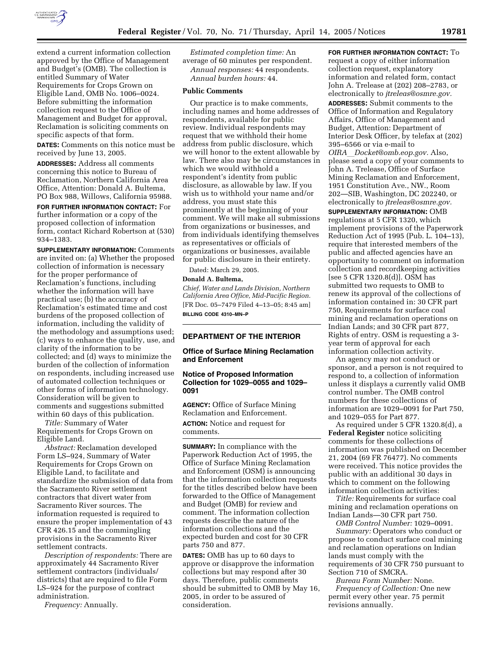

extend a current information collection approved by the Office of Management and Budget's (OMB). The collection is entitled Summary of Water Requirements for Crops Grown on Eligible Land, OMB No. 1006–0024. Before submitting the information collection request to the Office of Management and Budget for approval, Reclamation is soliciting comments on specific aspects of that form.

**DATES:** Comments on this notice must be received by June 13, 2005.

**ADDRESSES:** Address all comments concerning this notice to Bureau of Reclamation, Northern California Area Office, Attention: Donald A. Bultema, PO Box 988, Willows, California 95988.

**FOR FURTHER INFORMATION CONTACT:** For further information or a copy of the proposed collection of information form, contact Richard Robertson at (530) 934–1383.

**SUPPLEMENTARY INFORMATION:** Comments are invited on: (a) Whether the proposed collection of information is necessary for the proper performance of Reclamation's functions, including whether the information will have practical use; (b) the accuracy of Reclamation's estimated time and cost burdens of the proposed collection of information, including the validity of the methodology and assumptions used; (c) ways to enhance the quality, use, and clarity of the information to be collected; and (d) ways to minimize the burden of the collection of information on respondents, including increased use of automated collection techniques or other forms of information technology. Consideration will be given to comments and suggestions submitted within 60 days of this publication.

*Title:* Summary of Water Requirements for Crops Grown on Eligible Land.

*Abstract:* Reclamation developed Form LS–924, Summary of Water Requirements for Crops Grown on Eligible Land, to facilitate and standardize the submission of data from the Sacramento River settlement contractors that divert water from Sacramento River sources. The information requested is required to ensure the proper implementation of 43 CFR 426.15 and the commingling provisions in the Sacramento River settlement contracts.

*Description of respondents:* There are approximately 44 Sacramento River settlement contractors (individuals/ districts) that are required to file Form LS–924 for the purpose of contract administration.

*Frequency:* Annually.

*Estimated completion time:* An average of 60 minutes per respondent. *Annual responses:* 44 respondents. *Annual burden hours:* 44.

#### **Public Comments**

Our practice is to make comments, including names and home addresses of respondents, available for public review. Individual respondents may request that we withhold their home address from public disclosure, which we will honor to the extent allowable by law. There also may be circumstances in which we would withhold a respondent's identity from public disclosure, as allowable by law. If you wish us to withhold your name and/or address, you must state this prominently at the beginning of your comment. We will make all submissions from organizations or businesses, and from individuals identifying themselves as representatives or officials of organizations or businesses, available for public disclosure in their entirety.

Dated: March 29, 2005.

### **Donald A. Bultema,**

*Chief, Water and Lands Division, Northern California Area Office, Mid-Pacific Region.* [FR Doc. 05–7479 Filed 4–13–05; 8:45 am] **BILLING CODE 4310–MN–P**

## **DEPARTMENT OF THE INTERIOR**

## **Office of Surface Mining Reclamation and Enforcement**

#### **Notice of Proposed Information Collection for 1029–0055 and 1029– 0091**

**AGENCY:** Office of Surface Mining Reclamation and Enforcement.

**ACTION:** Notice and request for comments.

**SUMMARY:** In compliance with the Paperwork Reduction Act of 1995, the Office of Surface Mining Reclamation and Enforcement (OSM) is announcing that the information collection requests for the titles described below have been forwarded to the Office of Management and Budget (OMB) for review and comment. The information collection requests describe the nature of the information collections and the expected burden and cost for 30 CFR parts 750 and 877.

**DATES:** OMB has up to 60 days to approve or disapprove the information collections but may respond after 30 days. Therefore, public comments should be submitted to OMB by May 16, 2005, in order to be assured of consideration.

**FOR FURTHER INFORMATION CONTACT:** To request a copy of either information collection request, explanatory information and related form, contact John A. Trelease at (202) 208–2783, or electronically to *jtreleas@osmre.gov.*

**ADDRESSES:** Submit comments to the Office of Information and Regulatory Affairs, Office of Management and Budget, Attention: Department of Interior Desk Officer, by telefax at (202) 395–6566 or via e-mail to

*OIRA*l*Docket@omb.eop.gov.* Also, please send a copy of your comments to John A. Trelease, Office of Surface Mining Reclamation and Enforcement, 1951 Constitution Ave., NW., Room 202—SIB, Washington, DC 202240, or electronically to *jtreleas@osmre.gov.*

**SUPPLEMENTARY INFORMATION:** OMB regulations at 5 CFR 1320, which implement provisions of the Paperwork Reduction Act of 1995 (Pub. L. 104–13), require that interested members of the public and affected agencies have an opportunity to comment on information collection and recordkeeping activities [see 5 CFR 1320.8(d)]. OSM has submitted two requests to OMB to renew its approval of the collections of information contained in: 30 CFR part 750, Requirements for surface coal mining and reclamation operations on Indian Lands; and 30 CFR part 877, Rights of entry. OSM is requesting a 3 year term of approval for each information collection activity.

An agency may not conduct or sponsor, and a person is not required to respond to, a collection of information unless it displays a currently valid OMB control number. The OMB control numbers for these collections of information are 1029–0091 for Part 750, and 1029–055 for Part 877.

As required under 5 CFR 1320.8(d), a **Federal Register** notice soliciting comments for these collections of information was published on December 21, 2004 (69 FR 76477). No comments were received. This notice provides the public with an additional 30 days in which to comment on the following information collection activities:

*Title:* Requirements for surface coal mining and reclamation operations on Indian Lands—30 CFR part 750.

*OMB Control Number:* 1029–0091. *Summary:* Operators who conduct or propose to conduct surface coal mining and reclamation operations on Indian lands must comply with the requirements of 30 CFR 750 pursuant to Section 710 of SMCRA.

*Bureau Form Number:* None. *Frequency of Collection:* One new permit every other year. 75 permit revisions annually.